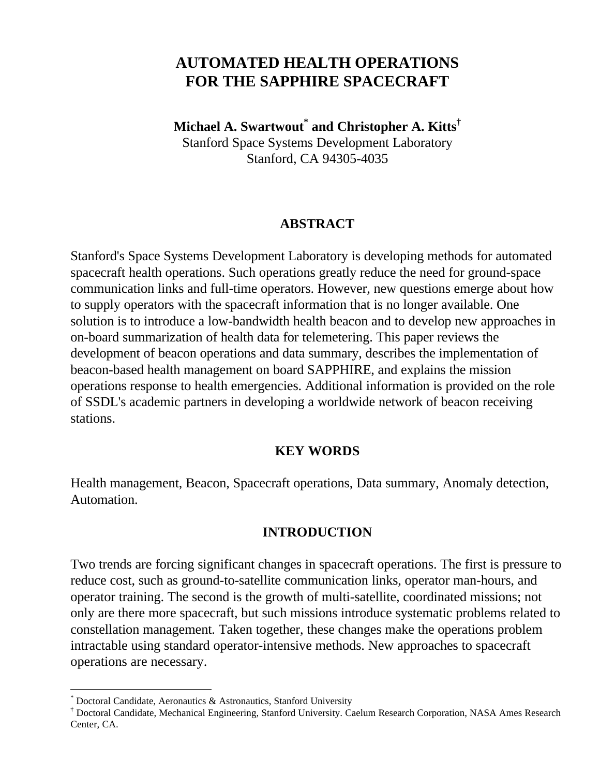# **AUTOMATED HEALTH OPERATIONS FOR THE SAPPHIRE SPACECRAFT**

**Michael A. Swartwout\* and Christopher A. Kitts†** Stanford Space Systems Development Laboratory Stanford, CA 94305-4035

### **ABSTRACT**

Stanford's Space Systems Development Laboratory is developing methods for automated spacecraft health operations. Such operations greatly reduce the need for ground-space communication links and full-time operators. However, new questions emerge about how to supply operators with the spacecraft information that is no longer available. One solution is to introduce a low-bandwidth health beacon and to develop new approaches in on-board summarization of health data for telemetering. This paper reviews the development of beacon operations and data summary, describes the implementation of beacon-based health management on board SAPPHIRE, and explains the mission operations response to health emergencies. Additional information is provided on the role of SSDL's academic partners in developing a worldwide network of beacon receiving stations.

#### **KEY WORDS**

Health management, Beacon, Spacecraft operations, Data summary, Anomaly detection, Automation.

#### **INTRODUCTION**

Two trends are forcing significant changes in spacecraft operations. The first is pressure to reduce cost, such as ground-to-satellite communication links, operator man-hours, and operator training. The second is the growth of multi-satellite, coordinated missions; not only are there more spacecraft, but such missions introduce systematic problems related to constellation management. Taken together, these changes make the operations problem intractable using standard operator-intensive methods. New approaches to spacecraft operations are necessary.

 $\overline{a}$ 

<sup>\*</sup> Doctoral Candidate, Aeronautics & Astronautics, Stanford University

<sup>†</sup> Doctoral Candidate, Mechanical Engineering, Stanford University. Caelum Research Corporation, NASA Ames Research Center, CA.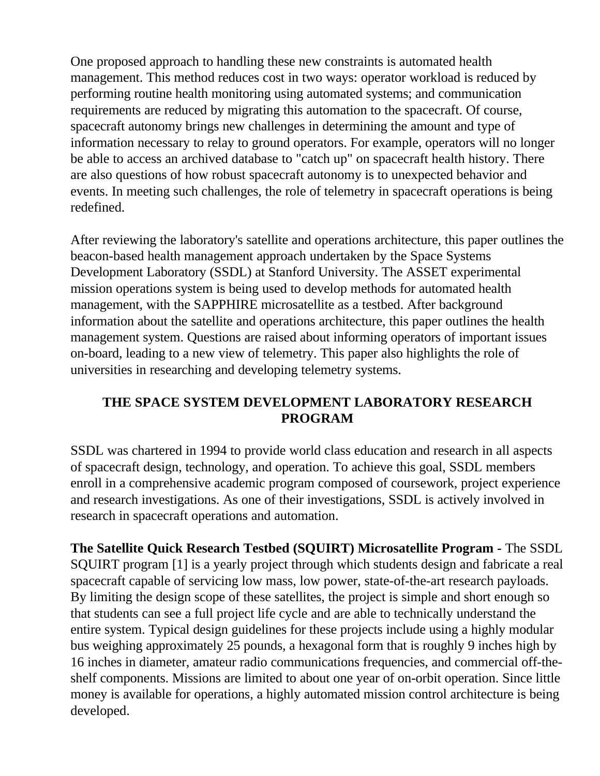One proposed approach to handling these new constraints is automated health management. This method reduces cost in two ways: operator workload is reduced by performing routine health monitoring using automated systems; and communication requirements are reduced by migrating this automation to the spacecraft. Of course, spacecraft autonomy brings new challenges in determining the amount and type of information necessary to relay to ground operators. For example, operators will no longer be able to access an archived database to "catch up" on spacecraft health history. There are also questions of how robust spacecraft autonomy is to unexpected behavior and events. In meeting such challenges, the role of telemetry in spacecraft operations is being redefined.

After reviewing the laboratory's satellite and operations architecture, this paper outlines the beacon-based health management approach undertaken by the Space Systems Development Laboratory (SSDL) at Stanford University. The ASSET experimental mission operations system is being used to develop methods for automated health management, with the SAPPHIRE microsatellite as a testbed. After background information about the satellite and operations architecture, this paper outlines the health management system. Questions are raised about informing operators of important issues on-board, leading to a new view of telemetry. This paper also highlights the role of universities in researching and developing telemetry systems.

## **THE SPACE SYSTEM DEVELOPMENT LABORATORY RESEARCH PROGRAM**

SSDL was chartered in 1994 to provide world class education and research in all aspects of spacecraft design, technology, and operation. To achieve this goal, SSDL members enroll in a comprehensive academic program composed of coursework, project experience and research investigations. As one of their investigations, SSDL is actively involved in research in spacecraft operations and automation.

**The Satellite Quick Research Testbed (SQUIRT) Microsatellite Program -** The SSDL SQUIRT program [1] is a yearly project through which students design and fabricate a real spacecraft capable of servicing low mass, low power, state-of-the-art research payloads. By limiting the design scope of these satellites, the project is simple and short enough so that students can see a full project life cycle and are able to technically understand the entire system. Typical design guidelines for these projects include using a highly modular bus weighing approximately 25 pounds, a hexagonal form that is roughly 9 inches high by 16 inches in diameter, amateur radio communications frequencies, and commercial off-theshelf components. Missions are limited to about one year of on-orbit operation. Since little money is available for operations, a highly automated mission control architecture is being developed.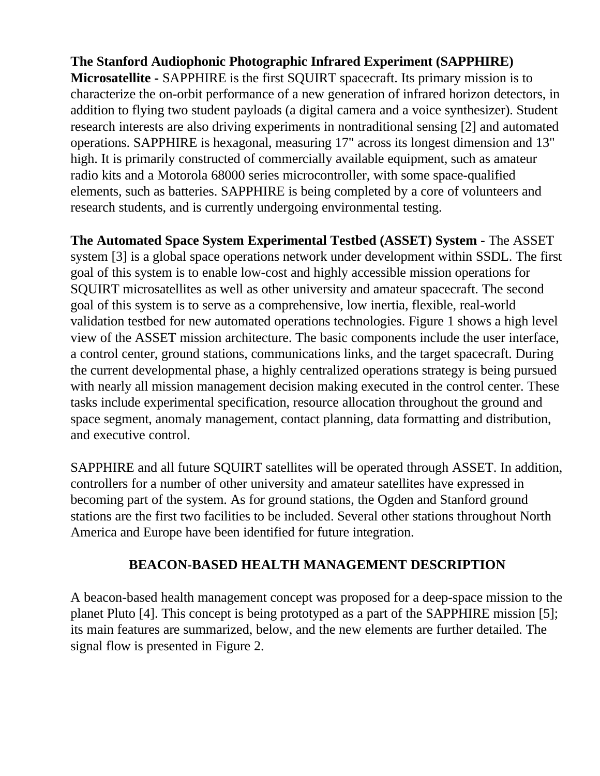# **The Stanford Audiophonic Photographic Infrared Experiment (SAPPHIRE)**

**Microsatellite -** SAPPHIRE is the first SQUIRT spacecraft. Its primary mission is to characterize the on-orbit performance of a new generation of infrared horizon detectors, in addition to flying two student payloads (a digital camera and a voice synthesizer). Student research interests are also driving experiments in nontraditional sensing [2] and automated operations. SAPPHIRE is hexagonal, measuring 17" across its longest dimension and 13" high. It is primarily constructed of commercially available equipment, such as amateur radio kits and a Motorola 68000 series microcontroller, with some space-qualified elements, such as batteries. SAPPHIRE is being completed by a core of volunteers and research students, and is currently undergoing environmental testing.

**The Automated Space System Experimental Testbed (ASSET) System -** The ASSET system [3] is a global space operations network under development within SSDL. The first goal of this system is to enable low-cost and highly accessible mission operations for SQUIRT microsatellites as well as other university and amateur spacecraft. The second goal of this system is to serve as a comprehensive, low inertia, flexible, real-world validation testbed for new automated operations technologies. Figure 1 shows a high level view of the ASSET mission architecture. The basic components include the user interface, a control center, ground stations, communications links, and the target spacecraft. During the current developmental phase, a highly centralized operations strategy is being pursued with nearly all mission management decision making executed in the control center. These tasks include experimental specification, resource allocation throughout the ground and space segment, anomaly management, contact planning, data formatting and distribution, and executive control.

SAPPHIRE and all future SQUIRT satellites will be operated through ASSET. In addition, controllers for a number of other university and amateur satellites have expressed in becoming part of the system. As for ground stations, the Ogden and Stanford ground stations are the first two facilities to be included. Several other stations throughout North America and Europe have been identified for future integration.

# **BEACON-BASED HEALTH MANAGEMENT DESCRIPTION**

A beacon-based health management concept was proposed for a deep-space mission to the planet Pluto [4]. This concept is being prototyped as a part of the SAPPHIRE mission [5]; its main features are summarized, below, and the new elements are further detailed. The signal flow is presented in Figure 2.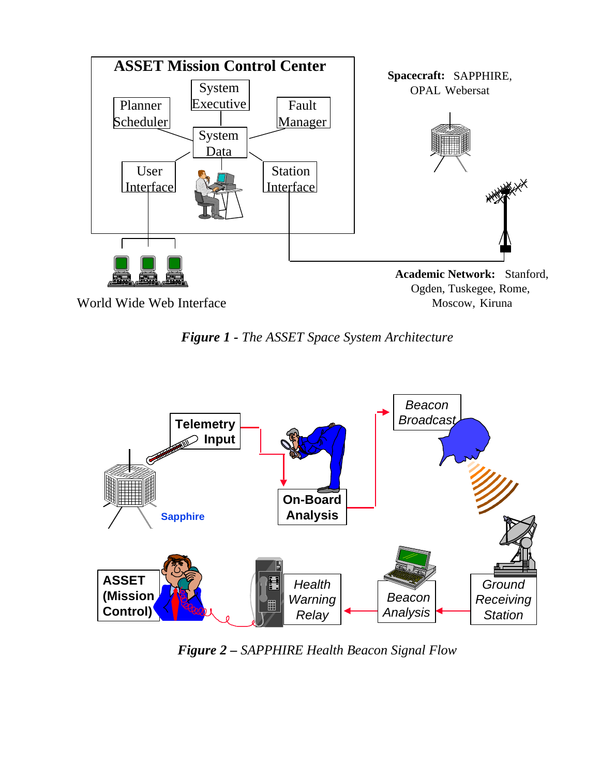

*Figure 1 - The ASSET Space System Architecture*



*Figure 2 – SAPPHIRE Health Beacon Signal Flow*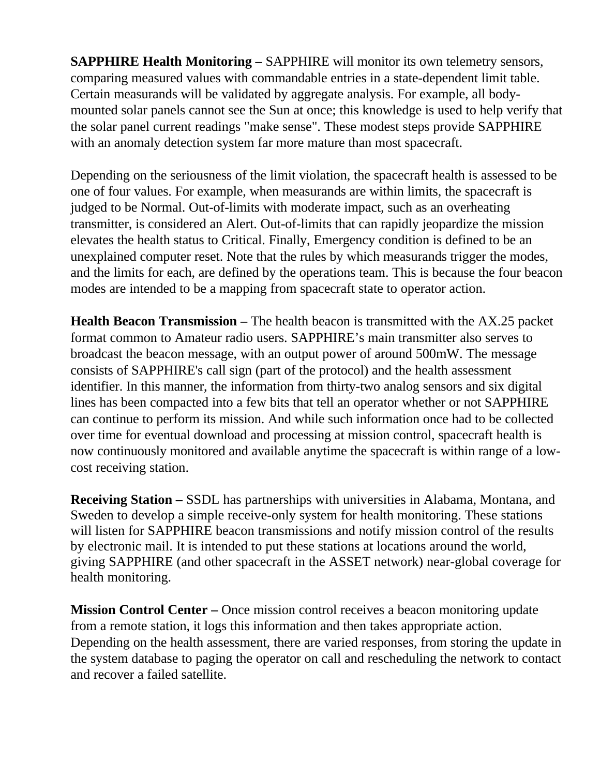**SAPPHIRE Health Monitoring –** SAPPHIRE will monitor its own telemetry sensors, comparing measured values with commandable entries in a state-dependent limit table. Certain measurands will be validated by aggregate analysis. For example, all bodymounted solar panels cannot see the Sun at once; this knowledge is used to help verify that the solar panel current readings "make sense". These modest steps provide SAPPHIRE with an anomaly detection system far more mature than most spacecraft.

Depending on the seriousness of the limit violation, the spacecraft health is assessed to be one of four values. For example, when measurands are within limits, the spacecraft is judged to be Normal. Out-of-limits with moderate impact, such as an overheating transmitter, is considered an Alert. Out-of-limits that can rapidly jeopardize the mission elevates the health status to Critical. Finally, Emergency condition is defined to be an unexplained computer reset. Note that the rules by which measurands trigger the modes, and the limits for each, are defined by the operations team. This is because the four beacon modes are intended to be a mapping from spacecraft state to operator action.

**Health Beacon Transmission –** The health beacon is transmitted with the AX.25 packet format common to Amateur radio users. SAPPHIRE's main transmitter also serves to broadcast the beacon message, with an output power of around 500mW. The message consists of SAPPHIRE's call sign (part of the protocol) and the health assessment identifier. In this manner, the information from thirty-two analog sensors and six digital lines has been compacted into a few bits that tell an operator whether or not SAPPHIRE can continue to perform its mission. And while such information once had to be collected over time for eventual download and processing at mission control, spacecraft health is now continuously monitored and available anytime the spacecraft is within range of a lowcost receiving station.

**Receiving Station –** SSDL has partnerships with universities in Alabama, Montana, and Sweden to develop a simple receive-only system for health monitoring. These stations will listen for SAPPHIRE beacon transmissions and notify mission control of the results by electronic mail. It is intended to put these stations at locations around the world, giving SAPPHIRE (and other spacecraft in the ASSET network) near-global coverage for health monitoring.

**Mission Control Center –** Once mission control receives a beacon monitoring update from a remote station, it logs this information and then takes appropriate action. Depending on the health assessment, there are varied responses, from storing the update in the system database to paging the operator on call and rescheduling the network to contact and recover a failed satellite.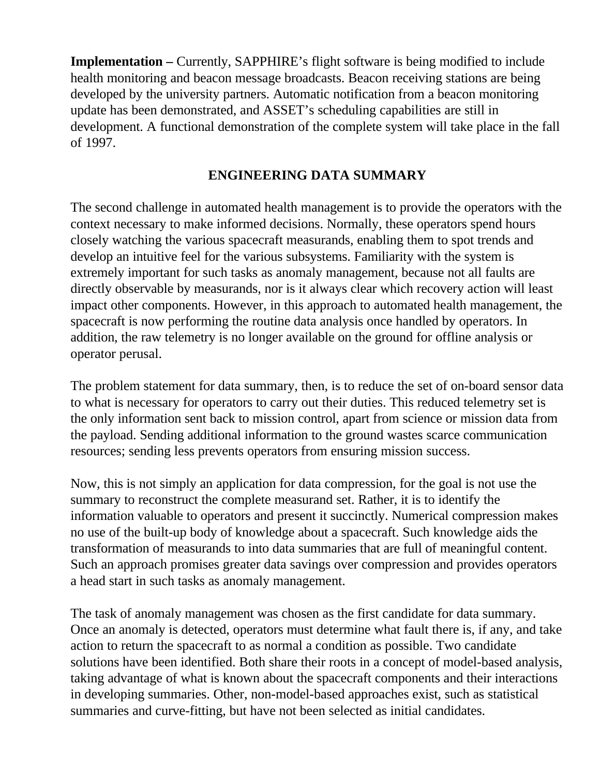**Implementation** – Currently, SAPPHIRE's flight software is being modified to include health monitoring and beacon message broadcasts. Beacon receiving stations are being developed by the university partners. Automatic notification from a beacon monitoring update has been demonstrated, and ASSET's scheduling capabilities are still in development. A functional demonstration of the complete system will take place in the fall of 1997.

### **ENGINEERING DATA SUMMARY**

The second challenge in automated health management is to provide the operators with the context necessary to make informed decisions. Normally, these operators spend hours closely watching the various spacecraft measurands, enabling them to spot trends and develop an intuitive feel for the various subsystems. Familiarity with the system is extremely important for such tasks as anomaly management, because not all faults are directly observable by measurands, nor is it always clear which recovery action will least impact other components. However, in this approach to automated health management, the spacecraft is now performing the routine data analysis once handled by operators. In addition, the raw telemetry is no longer available on the ground for offline analysis or operator perusal.

The problem statement for data summary, then, is to reduce the set of on-board sensor data to what is necessary for operators to carry out their duties. This reduced telemetry set is the only information sent back to mission control, apart from science or mission data from the payload. Sending additional information to the ground wastes scarce communication resources; sending less prevents operators from ensuring mission success.

Now, this is not simply an application for data compression, for the goal is not use the summary to reconstruct the complete measurand set. Rather, it is to identify the information valuable to operators and present it succinctly. Numerical compression makes no use of the built-up body of knowledge about a spacecraft. Such knowledge aids the transformation of measurands to into data summaries that are full of meaningful content. Such an approach promises greater data savings over compression and provides operators a head start in such tasks as anomaly management.

The task of anomaly management was chosen as the first candidate for data summary. Once an anomaly is detected, operators must determine what fault there is, if any, and take action to return the spacecraft to as normal a condition as possible. Two candidate solutions have been identified. Both share their roots in a concept of model-based analysis, taking advantage of what is known about the spacecraft components and their interactions in developing summaries. Other, non-model-based approaches exist, such as statistical summaries and curve-fitting, but have not been selected as initial candidates.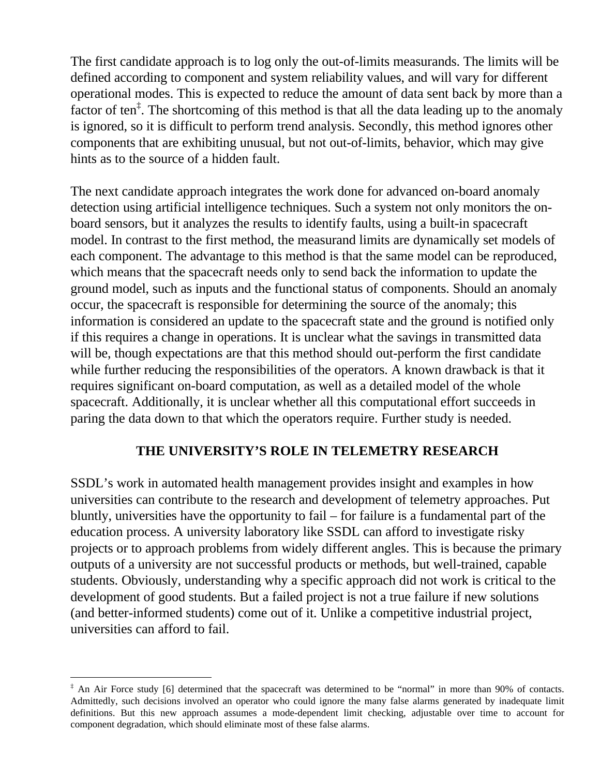The first candidate approach is to log only the out-of-limits measurands. The limits will be defined according to component and system reliability values, and will vary for different operational modes. This is expected to reduce the amount of data sent back by more than a factor of ten<sup>‡</sup>. The shortcoming of this method is that all the data leading up to the anomaly is ignored, so it is difficult to perform trend analysis. Secondly, this method ignores other components that are exhibiting unusual, but not out-of-limits, behavior, which may give hints as to the source of a hidden fault.

The next candidate approach integrates the work done for advanced on-board anomaly detection using artificial intelligence techniques. Such a system not only monitors the onboard sensors, but it analyzes the results to identify faults, using a built-in spacecraft model. In contrast to the first method, the measurand limits are dynamically set models of each component. The advantage to this method is that the same model can be reproduced, which means that the spacecraft needs only to send back the information to update the ground model, such as inputs and the functional status of components. Should an anomaly occur, the spacecraft is responsible for determining the source of the anomaly; this information is considered an update to the spacecraft state and the ground is notified only if this requires a change in operations. It is unclear what the savings in transmitted data will be, though expectations are that this method should out-perform the first candidate while further reducing the responsibilities of the operators. A known drawback is that it requires significant on-board computation, as well as a detailed model of the whole spacecraft. Additionally, it is unclear whether all this computational effort succeeds in paring the data down to that which the operators require. Further study is needed.

### **THE UNIVERSITY'S ROLE IN TELEMETRY RESEARCH**

SSDL's work in automated health management provides insight and examples in how universities can contribute to the research and development of telemetry approaches. Put bluntly, universities have the opportunity to fail – for failure is a fundamental part of the education process. A university laboratory like SSDL can afford to investigate risky projects or to approach problems from widely different angles. This is because the primary outputs of a university are not successful products or methods, but well-trained, capable students. Obviously, understanding why a specific approach did not work is critical to the development of good students. But a failed project is not a true failure if new solutions (and better-informed students) come out of it. Unlike a competitive industrial project, universities can afford to fail.

<u>.</u>

<sup>&</sup>lt;sup>‡</sup> An Air Force study [6] determined that the spacecraft was determined to be "normal" in more than 90% of contacts. Admittedly, such decisions involved an operator who could ignore the many false alarms generated by inadequate limit definitions. But this new approach assumes a mode-dependent limit checking, adjustable over time to account for component degradation, which should eliminate most of these false alarms.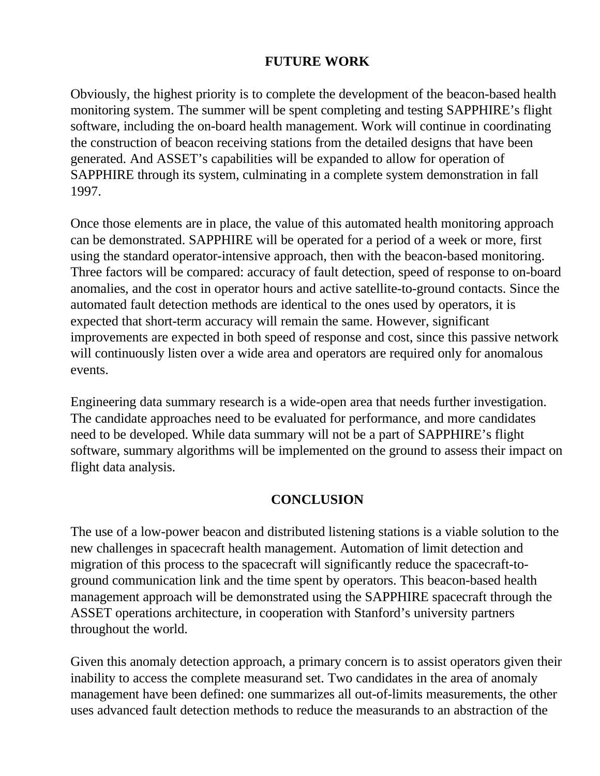## **FUTURE WORK**

Obviously, the highest priority is to complete the development of the beacon-based health monitoring system. The summer will be spent completing and testing SAPPHIRE's flight software, including the on-board health management. Work will continue in coordinating the construction of beacon receiving stations from the detailed designs that have been generated. And ASSET's capabilities will be expanded to allow for operation of SAPPHIRE through its system, culminating in a complete system demonstration in fall 1997.

Once those elements are in place, the value of this automated health monitoring approach can be demonstrated. SAPPHIRE will be operated for a period of a week or more, first using the standard operator-intensive approach, then with the beacon-based monitoring. Three factors will be compared: accuracy of fault detection, speed of response to on-board anomalies, and the cost in operator hours and active satellite-to-ground contacts. Since the automated fault detection methods are identical to the ones used by operators, it is expected that short-term accuracy will remain the same. However, significant improvements are expected in both speed of response and cost, since this passive network will continuously listen over a wide area and operators are required only for anomalous events.

Engineering data summary research is a wide-open area that needs further investigation. The candidate approaches need to be evaluated for performance, and more candidates need to be developed. While data summary will not be a part of SAPPHIRE's flight software, summary algorithms will be implemented on the ground to assess their impact on flight data analysis.

### **CONCLUSION**

The use of a low-power beacon and distributed listening stations is a viable solution to the new challenges in spacecraft health management. Automation of limit detection and migration of this process to the spacecraft will significantly reduce the spacecraft-toground communication link and the time spent by operators. This beacon-based health management approach will be demonstrated using the SAPPHIRE spacecraft through the ASSET operations architecture, in cooperation with Stanford's university partners throughout the world.

Given this anomaly detection approach, a primary concern is to assist operators given their inability to access the complete measurand set. Two candidates in the area of anomaly management have been defined: one summarizes all out-of-limits measurements, the other uses advanced fault detection methods to reduce the measurands to an abstraction of the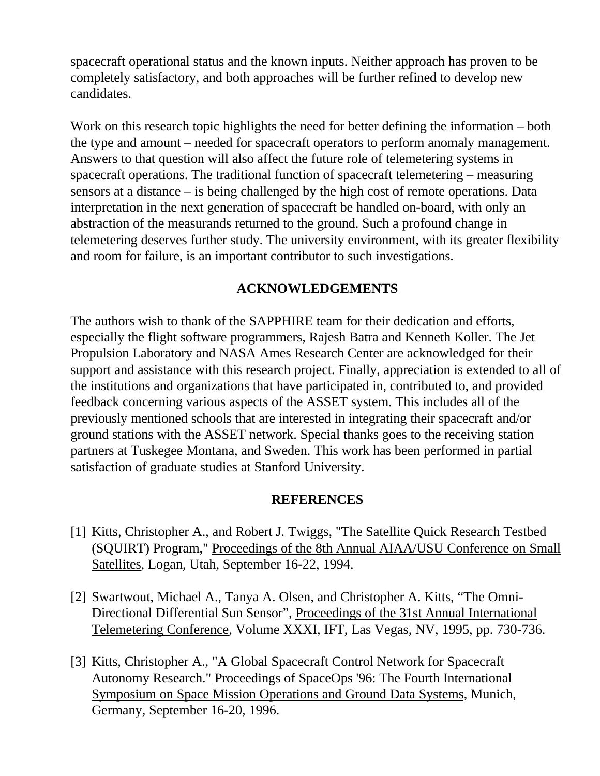spacecraft operational status and the known inputs. Neither approach has proven to be completely satisfactory, and both approaches will be further refined to develop new candidates.

Work on this research topic highlights the need for better defining the information – both the type and amount – needed for spacecraft operators to perform anomaly management. Answers to that question will also affect the future role of telemetering systems in spacecraft operations. The traditional function of spacecraft telemetering – measuring sensors at a distance – is being challenged by the high cost of remote operations. Data interpretation in the next generation of spacecraft be handled on-board, with only an abstraction of the measurands returned to the ground. Such a profound change in telemetering deserves further study. The university environment, with its greater flexibility and room for failure, is an important contributor to such investigations.

### **ACKNOWLEDGEMENTS**

The authors wish to thank of the SAPPHIRE team for their dedication and efforts, especially the flight software programmers, Rajesh Batra and Kenneth Koller. The Jet Propulsion Laboratory and NASA Ames Research Center are acknowledged for their support and assistance with this research project. Finally, appreciation is extended to all of the institutions and organizations that have participated in, contributed to, and provided feedback concerning various aspects of the ASSET system. This includes all of the previously mentioned schools that are interested in integrating their spacecraft and/or ground stations with the ASSET network. Special thanks goes to the receiving station partners at Tuskegee Montana, and Sweden. This work has been performed in partial satisfaction of graduate studies at Stanford University.

### **REFERENCES**

- [1] Kitts, Christopher A., and Robert J. Twiggs, "The Satellite Quick Research Testbed (SQUIRT) Program," Proceedings of the 8th Annual AIAA/USU Conference on Small Satellites, Logan, Utah, September 16-22, 1994.
- [2] Swartwout, Michael A., Tanya A. Olsen, and Christopher A. Kitts, "The Omni-Directional Differential Sun Sensor", Proceedings of the 31st Annual International Telemetering Conference, Volume XXXI, IFT, Las Vegas, NV, 1995, pp. 730-736.
- [3] Kitts, Christopher A., "A Global Spacecraft Control Network for Spacecraft Autonomy Research." Proceedings of SpaceOps '96: The Fourth International Symposium on Space Mission Operations and Ground Data Systems, Munich, Germany, September 16-20, 1996.